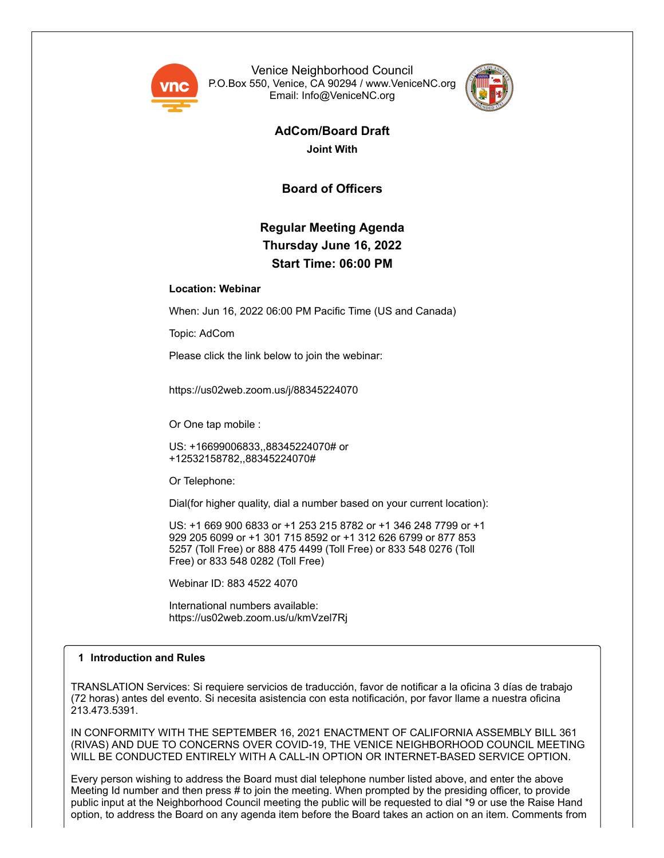

Venice Neighborhood Council P.O.Box 550, Venice, CA 90294 / www.VeniceNC.org Email: Info@VeniceNC.org



**AdCom/Board Draft Joint With**

**Board of Officers**

# **Regular Meeting Agenda Thursday June 16, 2022 Start Time: 06:00 PM**

# **Location: Webinar**

When: Jun 16, 2022 06:00 PM Pacific Time (US and Canada)

Topic: AdCom

Please click the link below to join the webinar:

https://us02web.zoom.us/j/88345224070

Or One tap mobile :

US: +16699006833,,88345224070# or +12532158782,,88345224070#

Or Telephone:

Dial(for higher quality, dial a number based on your current location):

US: +1 669 900 6833 or +1 253 215 8782 or +1 346 248 7799 or +1 929 205 6099 or +1 301 715 8592 or +1 312 626 6799 or 877 853 5257 (Toll Free) or 888 475 4499 (Toll Free) or 833 548 0276 (Toll Free) or 833 548 0282 (Toll Free)

Webinar ID: 883 4522 4070

International numbers available: https://us02web.zoom.us/u/kmVzel7Rj

# **1 Introduction and Rules**

TRANSLATION Services: Si requiere servicios de traducción, favor de notificar a la oficina 3 días de trabajo (72 horas) antes del evento. Si necesita asistencia con esta notificación, por favor llame a nuestra oficina 213.473.5391.

IN CONFORMITY WITH THE SEPTEMBER 16, 2021 ENACTMENT OF CALIFORNIA ASSEMBLY BILL 361 (RIVAS) AND DUE TO CONCERNS OVER COVID-19, THE VENICE NEIGHBORHOOD COUNCIL MEETING WILL BE CONDUCTED ENTIRELY WITH A CALL-IN OPTION OR INTERNET-BASED SERVICE OPTION.

Every person wishing to address the Board must dial telephone number listed above, and enter the above Meeting Id number and then press # to join the meeting. When prompted by the presiding officer, to provide public input at the Neighborhood Council meeting the public will be requested to dial \*9 or use the Raise Hand option, to address the Board on any agenda item before the Board takes an action on an item. Comments from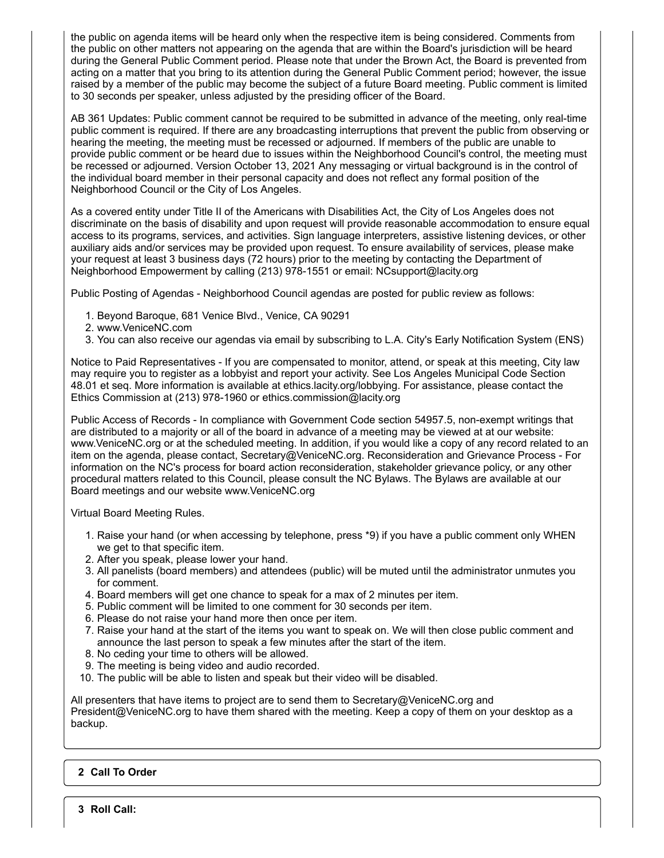the public on agenda items will be heard only when the respective item is being considered. Comments from the public on other matters not appearing on the agenda that are within the Board's jurisdiction will be heard during the General Public Comment period. Please note that under the Brown Act, the Board is prevented from acting on a matter that you bring to its attention during the General Public Comment period; however, the issue raised by a member of the public may become the subject of a future Board meeting. Public comment is limited to 30 seconds per speaker, unless adjusted by the presiding officer of the Board.

AB 361 Updates: Public comment cannot be required to be submitted in advance of the meeting, only real-time public comment is required. If there are any broadcasting interruptions that prevent the public from observing or hearing the meeting, the meeting must be recessed or adjourned. If members of the public are unable to provide public comment or be heard due to issues within the Neighborhood Council's control, the meeting must be recessed or adjourned. Version October 13, 2021 Any messaging or virtual background is in the control of the individual board member in their personal capacity and does not reflect any formal position of the Neighborhood Council or the City of Los Angeles.

As a covered entity under Title II of the Americans with Disabilities Act, the City of Los Angeles does not discriminate on the basis of disability and upon request will provide reasonable accommodation to ensure equal access to its programs, services, and activities. Sign language interpreters, assistive listening devices, or other auxiliary aids and/or services may be provided upon request. To ensure availability of services, please make your request at least 3 business days (72 hours) prior to the meeting by contacting the Department of Neighborhood Empowerment by calling (213) 978-1551 or email: NCsupport@lacity.org

Public Posting of Agendas - Neighborhood Council agendas are posted for public review as follows:

- 1. Beyond Baroque, 681 Venice Blvd., Venice, CA 90291
- 2. www.VeniceNC.com
- 3. You can also receive our agendas via email by subscribing to L.A. City's Early Notification System (ENS)

Notice to Paid Representatives - If you are compensated to monitor, attend, or speak at this meeting, City law may require you to register as a lobbyist and report your activity. See Los Angeles Municipal Code Section 48.01 et seq. More information is available at ethics.lacity.org/lobbying. For assistance, please contact the Ethics Commission at (213) 978-1960 or ethics.commission@lacity.org

Public Access of Records - In compliance with Government Code section 54957.5, non-exempt writings that are distributed to a majority or all of the board in advance of a meeting may be viewed at at our website: www.VeniceNC.org or at the scheduled meeting. In addition, if you would like a copy of any record related to an item on the agenda, please contact, Secretary@VeniceNC.org. Reconsideration and Grievance Process - For information on the NC's process for board action reconsideration, stakeholder grievance policy, or any other procedural matters related to this Council, please consult the NC Bylaws. The Bylaws are available at our Board meetings and our website www.VeniceNC.org

Virtual Board Meeting Rules.

- 1. Raise your hand (or when accessing by telephone, press \*9) if you have a public comment only WHEN we get to that specific item.
- 2. After you speak, please lower your hand.
- 3. All panelists (board members) and attendees (public) will be muted until the administrator unmutes you for comment.
- 4. Board members will get one chance to speak for a max of 2 minutes per item.
- 5. Public comment will be limited to one comment for 30 seconds per item.
- 6. Please do not raise your hand more then once per item.
- 7. Raise your hand at the start of the items you want to speak on. We will then close public comment and announce the last person to speak a few minutes after the start of the item.
- 8. No ceding your time to others will be allowed.
- 9. The meeting is being video and audio recorded.
- 10. The public will be able to listen and speak but their video will be disabled.

All presenters that have items to project are to send them to Secretary@VeniceNC.org and President@VeniceNC.org to have them shared with the meeting. Keep a copy of them on your desktop as a backup.

# **2 Call To Order**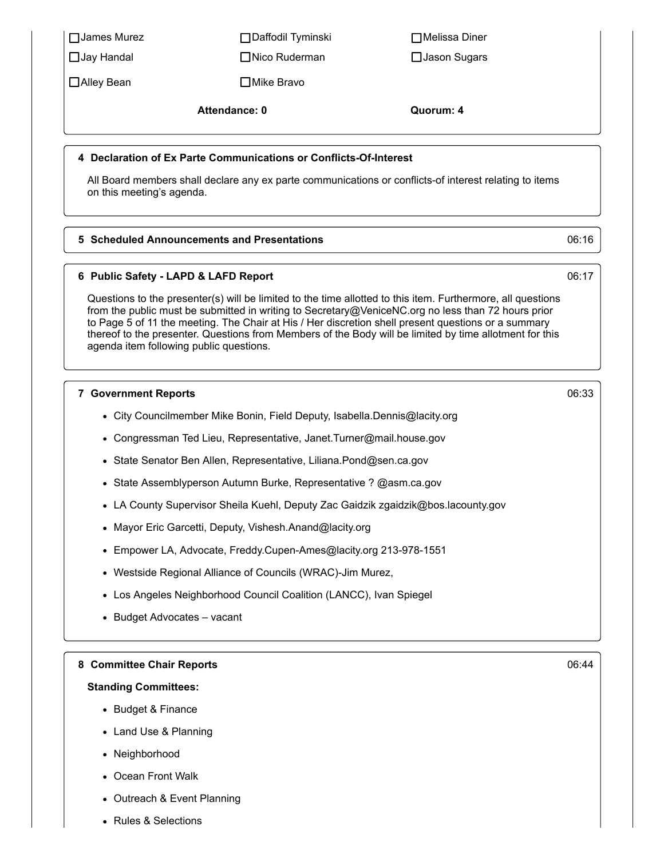| $\Box$ Jay Handal                                                         | □Nico Ruderman                                                                                                                                                                                                                                                                                                                                                  | □ Jason Sugars                                                                                              |       |
|---------------------------------------------------------------------------|-----------------------------------------------------------------------------------------------------------------------------------------------------------------------------------------------------------------------------------------------------------------------------------------------------------------------------------------------------------------|-------------------------------------------------------------------------------------------------------------|-------|
| □ Alley Bean                                                              | □ Mike Bravo                                                                                                                                                                                                                                                                                                                                                    |                                                                                                             |       |
|                                                                           | <b>Attendance: 0</b>                                                                                                                                                                                                                                                                                                                                            | Quorum: 4                                                                                                   |       |
|                                                                           | 4 Declaration of Ex Parte Communications or Conflicts-Of-Interest                                                                                                                                                                                                                                                                                               |                                                                                                             |       |
| on this meeting's agenda.                                                 | All Board members shall declare any ex parte communications or conflicts-of interest relating to items                                                                                                                                                                                                                                                          |                                                                                                             |       |
|                                                                           | 5 Scheduled Announcements and Presentations                                                                                                                                                                                                                                                                                                                     |                                                                                                             | 06:16 |
|                                                                           | 6 Public Safety - LAPD & LAFD Report                                                                                                                                                                                                                                                                                                                            |                                                                                                             | 06:17 |
|                                                                           | from the public must be submitted in writing to Secretary@VeniceNC.org no less than 72 hours prior<br>to Page 5 of 11 the meeting. The Chair at His / Her discretion shell present questions or a summary<br>thereof to the presenter. Questions from Members of the Body will be limited by time allotment for this<br>agenda item following public questions. | Questions to the presenter(s) will be limited to the time allotted to this item. Furthermore, all questions |       |
| <b>7 Government Reports</b>                                               |                                                                                                                                                                                                                                                                                                                                                                 |                                                                                                             | 06:33 |
| • City Councilmember Mike Bonin, Field Deputy, Isabella.Dennis@lacity.org |                                                                                                                                                                                                                                                                                                                                                                 |                                                                                                             |       |
| • Congressman Ted Lieu, Representative, Janet. Turner@mail.house.gov      |                                                                                                                                                                                                                                                                                                                                                                 |                                                                                                             |       |
|                                                                           | · State Senator Ben Allen, Representative, Liliana.Pond@sen.ca.gov                                                                                                                                                                                                                                                                                              |                                                                                                             |       |
| • State Assemblyperson Autumn Burke, Representative ? @asm.ca.gov         |                                                                                                                                                                                                                                                                                                                                                                 |                                                                                                             |       |
|                                                                           | • LA County Supervisor Sheila Kuehl, Deputy Zac Gaidzik zgaidzik@bos.lacounty.gov                                                                                                                                                                                                                                                                               |                                                                                                             |       |
|                                                                           | • Mayor Eric Garcetti, Deputy, Vishesh.Anand@lacity.org                                                                                                                                                                                                                                                                                                         |                                                                                                             |       |
|                                                                           | Empower LA, Advocate, Freddy.Cupen-Ames@lacity.org 213-978-1551                                                                                                                                                                                                                                                                                                 |                                                                                                             |       |
| $\bullet$                                                                 | Westside Regional Alliance of Councils (WRAC)-Jim Murez,                                                                                                                                                                                                                                                                                                        |                                                                                                             |       |
| $\bullet$                                                                 | Los Angeles Neighborhood Council Coalition (LANCC), Ivan Spiegel                                                                                                                                                                                                                                                                                                |                                                                                                             |       |
|                                                                           | <b>Budget Advocates - vacant</b>                                                                                                                                                                                                                                                                                                                                |                                                                                                             |       |
| 8 Committee Chair Reports                                                 |                                                                                                                                                                                                                                                                                                                                                                 |                                                                                                             | 06:44 |
| <b>Standing Committees:</b>                                               |                                                                                                                                                                                                                                                                                                                                                                 |                                                                                                             |       |
| • Budget & Finance                                                        |                                                                                                                                                                                                                                                                                                                                                                 |                                                                                                             |       |
| Land Use & Planning<br>٠                                                  |                                                                                                                                                                                                                                                                                                                                                                 |                                                                                                             |       |
| Neighborhood<br>٠                                                         |                                                                                                                                                                                                                                                                                                                                                                 |                                                                                                             |       |
| Ocean Front Walk<br>٠                                                     |                                                                                                                                                                                                                                                                                                                                                                 |                                                                                                             |       |
|                                                                           | Outreach & Event Planning                                                                                                                                                                                                                                                                                                                                       |                                                                                                             |       |
| <b>Rules &amp; Selections</b><br>$\bullet$                                |                                                                                                                                                                                                                                                                                                                                                                 |                                                                                                             |       |

 $\Box$ James Murez  $\Box$ Daffodil Tyminski  $\Box$ Melissa Diner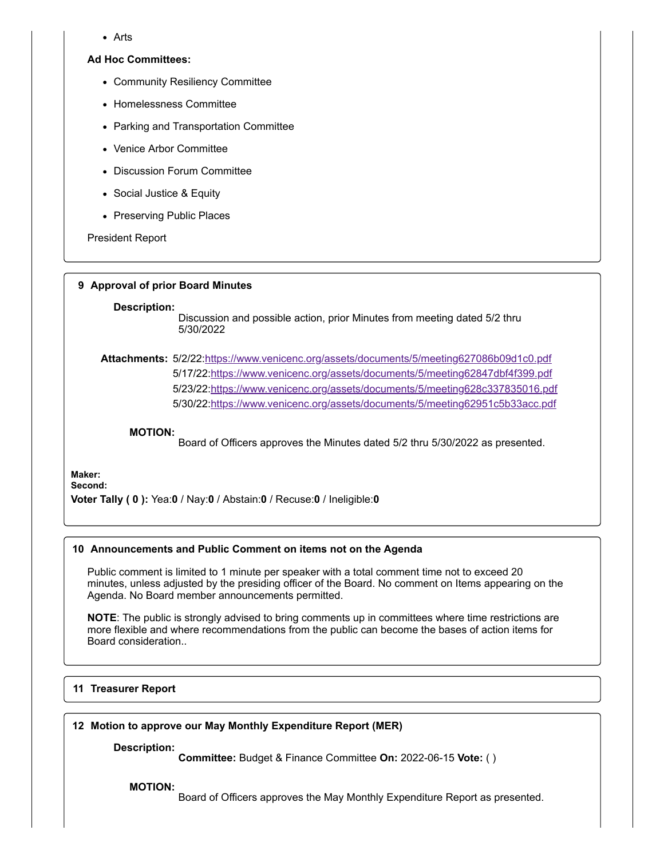Arts

## **Ad Hoc Committees:**

- Community Resiliency Committee
- Homelessness Committee
- Parking and Transportation Committee
- Venice Arbor Committee
- Discussion Forum Committee
- Social Justice & Equity
- Preserving Public Places

President Report

## **9 Approval of prior Board Minutes**

### **Description:**

Discussion and possible action, prior Minutes from meeting dated 5/2 thru 5/30/2022

**Attachments:** 5/2/22[:https://www.venicenc.org/assets/documents/5/meeting627086b09d1c0.pdf](https://www.venicenc.org/assets/documents/5/meeting627086b09d1c0.pdf) 5/17/22[:https://www.venicenc.org/assets/documents/5/meeting62847dbf4f399.pdf](https://www.venicenc.org/assets/documents/5/meeting62847dbf4f399.pdf) 5/23/22[:https://www.venicenc.org/assets/documents/5/meeting628c337835016.pdf](https://www.venicenc.org/assets/documents/5/meeting628c337835016.pdf) 5/30/22[:https://www.venicenc.org/assets/documents/5/meeting62951c5b33acc.pdf](https://www.venicenc.org/assets/documents/5/meeting62951c5b33acc.pdf)

### **MOTION:**

Board of Officers approves the Minutes dated 5/2 thru 5/30/2022 as presented.

**Maker: Second:**

**Voter Tally ( 0 ):** Yea:**0** / Nay:**0** / Abstain:**0** / Recuse:**0** / Ineligible:**0**

# **10 Announcements and Public Comment on items not on the Agenda**

Public comment is limited to 1 minute per speaker with a total comment time not to exceed 20 minutes, unless adjusted by the presiding officer of the Board. No comment on Items appearing on the Agenda. No Board member announcements permitted.

**NOTE**: The public is strongly advised to bring comments up in committees where time restrictions are more flexible and where recommendations from the public can become the bases of action items for Board consideration..

## **11 Treasurer Report**

# **12 Motion to approve our May Monthly Expenditure Report (MER)**

**Description:**

**Committee:** Budget & Finance Committee **On:** 2022-06-15 **Vote:** ( )

**MOTION:**

Board of Officers approves the May Monthly Expenditure Report as presented.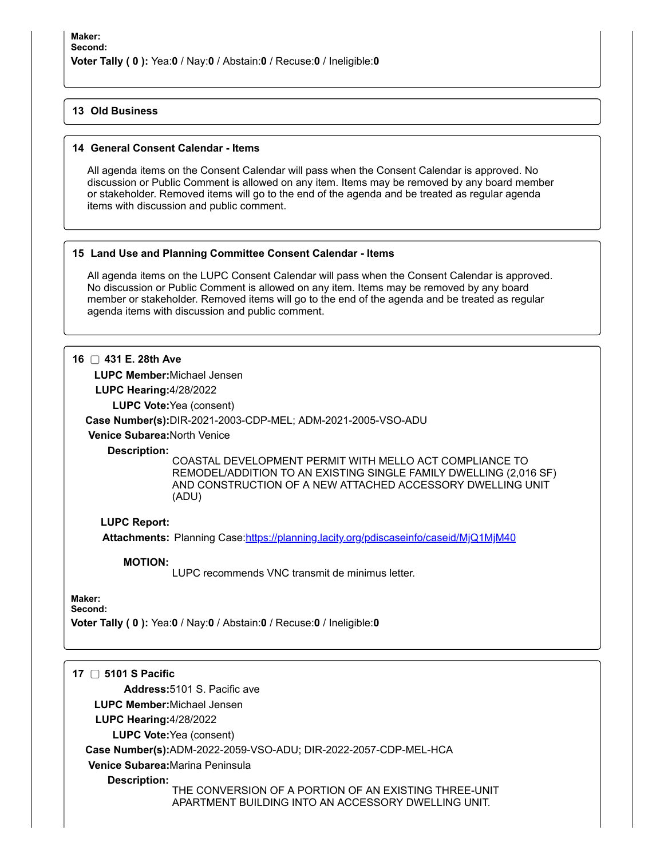# **13 Old Business**

# **14 General Consent Calendar - Items**

All agenda items on the Consent Calendar will pass when the Consent Calendar is approved. No discussion or Public Comment is allowed on any item. Items may be removed by any board member or stakeholder. Removed items will go to the end of the agenda and be treated as regular agenda items with discussion and public comment.

# **15 Land Use and Planning Committee Consent Calendar - Items**

All agenda items on the LUPC Consent Calendar will pass when the Consent Calendar is approved. No discussion or Public Comment is allowed on any item. Items may be removed by any board member or stakeholder. Removed items will go to the end of the agenda and be treated as regular agenda items with discussion and public comment.

# **16 431 E. 28th Ave**

**LUPC Member:**Michael Jensen

**LUPC Hearing:**4/28/2022

**LUPC Vote:**Yea (consent)

# **Case Number(s):**DIR-2021-2003-CDP-MEL; ADM-2021-2005-VSO-ADU

**Venice Subarea:**North Venice

**Description:**

COASTAL DEVELOPMENT PERMIT WITH MELLO ACT COMPLIANCE TO REMODEL/ADDITION TO AN EXISTING SINGLE FAMILY DWELLING (2,016 SF) AND CONSTRUCTION OF A NEW ATTACHED ACCESSORY DWELLING UNIT (ADU)

# **LUPC Report:**

**Attachments:** Planning Case:<https://planning.lacity.org/pdiscaseinfo/caseid/MjQ1MjM40>

**MOTION:**

LUPC recommends VNC transmit de minimus letter.

# **Maker:**

**Second:**

**Voter Tally ( 0 ):** Yea:**0** / Nay:**0** / Abstain:**0** / Recuse:**0** / Ineligible:**0**

| 5101 S Pacific                                                                                                               |
|------------------------------------------------------------------------------------------------------------------------------|
| Address: 5101 S. Pacific ave                                                                                                 |
| <b>LUPC Member:</b> Michael Jensen                                                                                           |
| LUPC Hearing: $4/28/2022$                                                                                                    |
| <b>LUPC Vote: Yea (consent)</b>                                                                                              |
| Case Number(s):ADM-2022-2059-VSO-ADU; DIR-2022-2057-CDP-MEL-HCA                                                              |
| Venice Subarea: Marina Peninsula                                                                                             |
| Description:<br>THE CONVERSION OF A PORTION OF AN EXISTING THREE-UNIT<br>APARTMENT BUILDING INTO AN ACCESSORY DWELLING UNIT. |
|                                                                                                                              |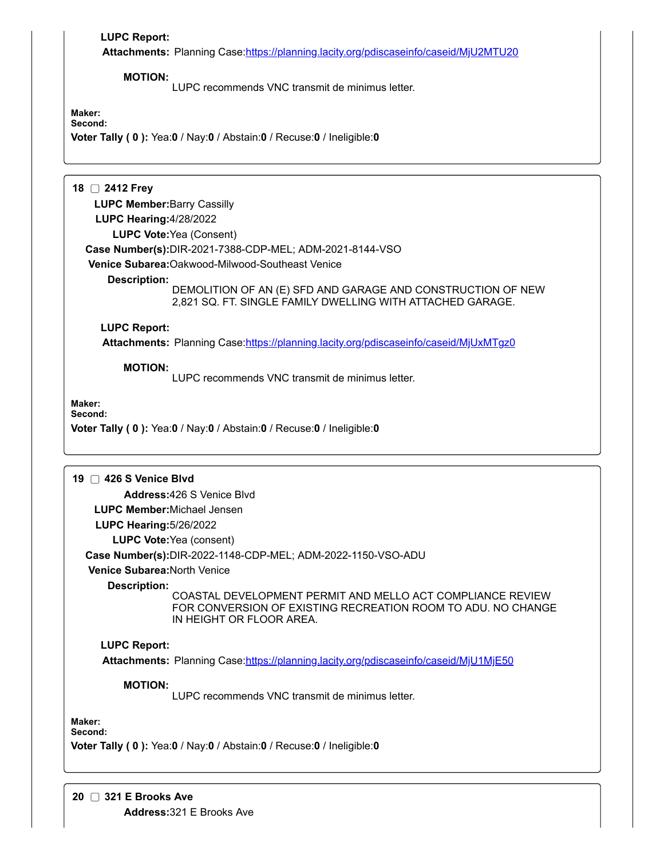| <b>LUPC Report:</b>                | Attachments: Planning Case:https://planning.lacity.org/pdiscaseinfo/caseid/MjU2MTU20                                                                   |
|------------------------------------|--------------------------------------------------------------------------------------------------------------------------------------------------------|
| <b>MOTION:</b>                     | LUPC recommends VNC transmit de minimus letter.                                                                                                        |
| Maker:<br>Second:                  | Voter Tally (0): Yea:0 / Nay:0 / Abstain:0 / Recuse:0 / Ineligible:0                                                                                   |
| 18 □ 2412 Frey                     |                                                                                                                                                        |
| <b>LUPC Member:</b> Barry Cassilly |                                                                                                                                                        |
| <b>LUPC Hearing: 4/28/2022</b>     |                                                                                                                                                        |
|                                    | <b>LUPC Vote: Yea (Consent)</b>                                                                                                                        |
|                                    | Case Number(s):DIR-2021-7388-CDP-MEL; ADM-2021-8144-VSO                                                                                                |
|                                    | Venice Subarea: Oakwood-Milwood-Southeast Venice                                                                                                       |
| <b>Description:</b>                | DEMOLITION OF AN (E) SFD AND GARAGE AND CONSTRUCTION OF NEW<br>2,821 SQ. FT. SINGLE FAMILY DWELLING WITH ATTACHED GARAGE.                              |
| <b>LUPC Report:</b>                | Attachments: Planning Case:https://planning.lacity.org/pdiscaseinfo/caseid/MjUxMTgz0                                                                   |
|                                    |                                                                                                                                                        |
| <b>MOTION:</b>                     | LUPC recommends VNC transmit de minimus letter.                                                                                                        |
| Maker:<br>Second:                  | Voter Tally (0): Yea:0 / Nay:0 / Abstain:0 / Recuse:0 / Ineligible:0                                                                                   |
| 19 □ 426 S Venice Blvd             |                                                                                                                                                        |
|                                    | Address: 426 S Venice Blvd                                                                                                                             |
| <b>LUPC Member:</b> Michael Jensen |                                                                                                                                                        |
| <b>LUPC Hearing: 5/26/2022</b>     |                                                                                                                                                        |
|                                    | <b>LUPC Vote: Yea (consent)</b>                                                                                                                        |
|                                    | Case Number(s):DIR-2022-1148-CDP-MEL; ADM-2022-1150-VSO-ADU                                                                                            |
| Venice Subarea: North Venice       |                                                                                                                                                        |
| <b>Description:</b>                | COASTAL DEVELOPMENT PERMIT AND MELLO ACT COMPLIANCE REVIEW<br>FOR CONVERSION OF EXISTING RECREATION ROOM TO ADU. NO CHANGE<br>IN HEIGHT OR FLOOR AREA. |
| <b>LUPC Report:</b>                |                                                                                                                                                        |
|                                    | Attachments: Planning Case:https://planning.lacity.org/pdiscaseinfo/caseid/MjU1MjE50                                                                   |
| <b>MOTION:</b>                     | LUPC recommends VNC transmit de minimus letter.                                                                                                        |
| Maker:<br>Second:                  | Voter Tally (0): Yea:0 / Nay:0 / Abstain:0 / Recuse:0 / Ineligible:0                                                                                   |
|                                    |                                                                                                                                                        |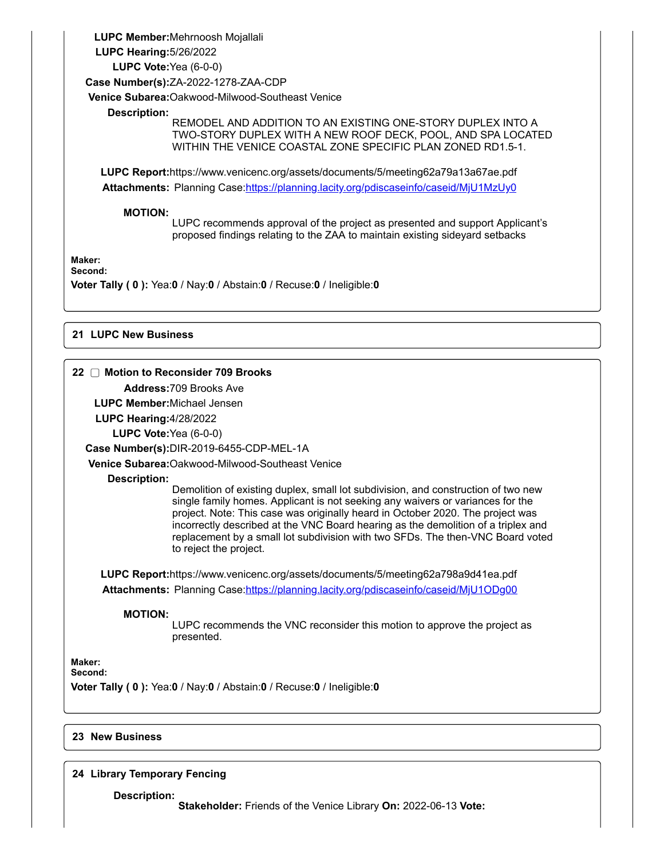**LUPC Member:**Mehrnoosh Mojallali **LUPC Hearing:**5/26/2022 **LUPC Vote:**Yea (6-0-0) **Case Number(s):**ZA-2022-1278-ZAA-CDP **Venice Subarea:**Oakwood-Milwood-Southeast Venice **Description:** REMODEL AND ADDITION TO AN EXISTING ONE-STORY DUPLEX INTO A TWO-STORY DUPLEX WITH A NEW ROOF DECK, POOL, AND SPA LOCATED WITHIN THE VENICE COASTAL ZONE SPECIFIC PLAN ZONED RD1.5-1. **LUPC Report:**https://www.venicenc.org/assets/documents/5/meeting62a79a13a67ae.pdf **Attachments:** Planning Case:<https://planning.lacity.org/pdiscaseinfo/caseid/MjU1MzUy0> **MOTION:** LUPC recommends approval of the project as presented and support Applicant's proposed findings relating to the ZAA to maintain existing sideyard setbacks

**Maker:**

**Second:**

**Voter Tally ( 0 ):** Yea:**0** / Nay:**0** / Abstain:**0** / Recuse:**0** / Ineligible:**0**

# **21 LUPC New Business**

# **22 Motion to Reconsider 709 Brooks**

**Address:**709 Brooks Ave

**LUPC Member:**Michael Jensen

**LUPC Hearing:**4/28/2022

**LUPC Vote:**Yea (6-0-0)

**Case Number(s):**DIR-2019-6455-CDP-MEL-1A

**Venice Subarea:**Oakwood-Milwood-Southeast Venice

**Description:**

Demolition of existing duplex, small lot subdivision, and construction of two new single family homes. Applicant is not seeking any waivers or variances for the project. Note: This case was originally heard in October 2020. The project was incorrectly described at the VNC Board hearing as the demolition of a triplex and replacement by a small lot subdivision with two SFDs. The then-VNC Board voted to reject the project.

**LUPC Report:**https://www.venicenc.org/assets/documents/5/meeting62a798a9d41ea.pdf Attachments: Planning Case:<https://planning.lacity.org/pdiscaseinfo/caseid/MjU1ODg00>

**MOTION:**

LUPC recommends the VNC reconsider this motion to approve the project as presented.

**Maker: Second:**

**Voter Tally ( 0 ):** Yea:**0** / Nay:**0** / Abstain:**0** / Recuse:**0** / Ineligible:**0**

# **23 New Business**

# **24 Library Temporary Fencing**

**Description:**

**Stakeholder:** Friends of the Venice Library **On:** 2022-06-13 **Vote:**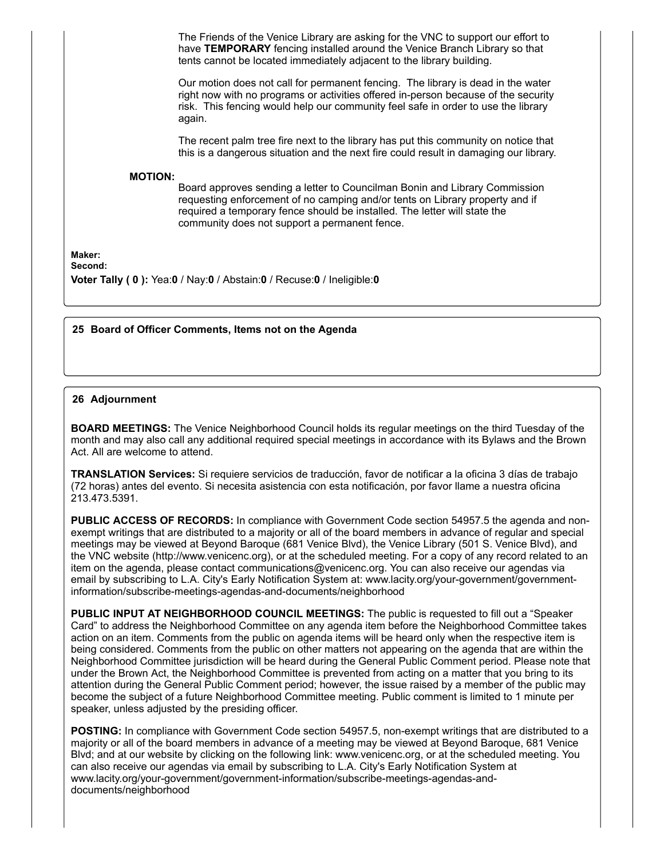The Friends of the Venice Library are asking for the VNC to support our effort to have **TEMPORARY** fencing installed around the Venice Branch Library so that tents cannot be located immediately adjacent to the library building.

Our motion does not call for permanent fencing. The library is dead in the water right now with no programs or activities offered in-person because of the security risk. This fencing would help our community feel safe in order to use the library again.

The recent palm tree fire next to the library has put this community on notice that this is a dangerous situation and the next fire could result in damaging our library.

#### **MOTION:**

Board approves sending a letter to Councilman Bonin and Library Commission requesting enforcement of no camping and/or tents on Library property and if required a temporary fence should be installed. The letter will state the community does not support a permanent fence.

**Maker:**

**Second:**

**Voter Tally ( 0 ):** Yea:**0** / Nay:**0** / Abstain:**0** / Recuse:**0** / Ineligible:**0**

### **25 Board of Officer Comments, Items not on the Agenda**

#### **26 Adjournment**

**BOARD MEETINGS:** The Venice Neighborhood Council holds its regular meetings on the third Tuesday of the month and may also call any additional required special meetings in accordance with its Bylaws and the Brown Act. All are welcome to attend.

**TRANSLATION Services:** Si requiere servicios de traducción, favor de notificar a la oficina 3 días de trabajo (72 horas) antes del evento. Si necesita asistencia con esta notificación, por favor llame a nuestra oficina 213.473.5391.

**PUBLIC ACCESS OF RECORDS:** In compliance with Government Code section 54957.5 the agenda and nonexempt writings that are distributed to a majority or all of the board members in advance of regular and special meetings may be viewed at Beyond Baroque (681 Venice Blvd), the Venice Library (501 S. Venice Blvd), and the VNC website (http://www.venicenc.org), or at the scheduled meeting. For a copy of any record related to an item on the agenda, please contact communications@venicenc.org. You can also receive our agendas via email by subscribing to L.A. City's Early Notification System at: www.lacity.org/your-government/governmentinformation/subscribe-meetings-agendas-and-documents/neighborhood

**PUBLIC INPUT AT NEIGHBORHOOD COUNCIL MEETINGS:** The public is requested to fill out a "Speaker Card" to address the Neighborhood Committee on any agenda item before the Neighborhood Committee takes action on an item. Comments from the public on agenda items will be heard only when the respective item is being considered. Comments from the public on other matters not appearing on the agenda that are within the Neighborhood Committee jurisdiction will be heard during the General Public Comment period. Please note that under the Brown Act, the Neighborhood Committee is prevented from acting on a matter that you bring to its attention during the General Public Comment period; however, the issue raised by a member of the public may become the subject of a future Neighborhood Committee meeting. Public comment is limited to 1 minute per speaker, unless adjusted by the presiding officer.

**POSTING:** In compliance with Government Code section 54957.5, non-exempt writings that are distributed to a majority or all of the board members in advance of a meeting may be viewed at Beyond Baroque, 681 Venice Blvd; and at our website by clicking on the following link: www.venicenc.org, or at the scheduled meeting. You can also receive our agendas via email by subscribing to L.A. City's Early Notification System at www.lacity.org/your-government/government-information/subscribe-meetings-agendas-anddocuments/neighborhood